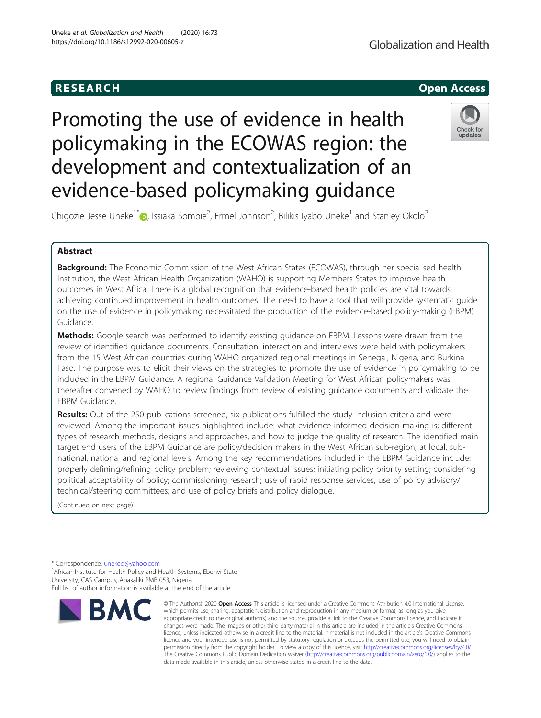## Globalization and Health

## **RESEARCH CHEAR CHEAR CHEAR CHEAR CHEAR CHEAR CHEAR CHEAR CHEAR CHEAR CHEAR CHEAR CHEAR CHEAR CHEAR CHEAR CHEAR**

# Promoting the use of evidence in health policymaking in the ECOWAS region: the development and contextualization of an evidence-based policymaking guidance



Chigozie Jesse Uneke<sup>1\*</sup> $\circledcirc$ , Issiaka Sombie<sup>2</sup>, Ermel Johnson<sup>2</sup>, Bilikis Iyabo Uneke<sup>1</sup> and Stanley Okolo<sup>2</sup>

## Abstract

**Background:** The Economic Commission of the West African States (ECOWAS), through her specialised health Institution, the West African Health Organization (WAHO) is supporting Members States to improve health outcomes in West Africa. There is a global recognition that evidence-based health policies are vital towards achieving continued improvement in health outcomes. The need to have a tool that will provide systematic guide on the use of evidence in policymaking necessitated the production of the evidence-based policy-making (EBPM) Guidance.

Methods: Google search was performed to identify existing guidance on EBPM. Lessons were drawn from the review of identified guidance documents. Consultation, interaction and interviews were held with policymakers from the 15 West African countries during WAHO organized regional meetings in Senegal, Nigeria, and Burkina Faso. The purpose was to elicit their views on the strategies to promote the use of evidence in policymaking to be included in the EBPM Guidance. A regional Guidance Validation Meeting for West African policymakers was thereafter convened by WAHO to review findings from review of existing guidance documents and validate the EBPM Guidance.

Results: Out of the 250 publications screened, six publications fulfilled the study inclusion criteria and were reviewed. Among the important issues highlighted include: what evidence informed decision-making is; different types of research methods, designs and approaches, and how to judge the quality of research. The identified main target end users of the EBPM Guidance are policy/decision makers in the West African sub-region, at local, subnational, national and regional levels. Among the key recommendations included in the EBPM Guidance include: properly defining/refining policy problem; reviewing contextual issues; initiating policy priority setting; considering political acceptability of policy; commissioning research; use of rapid response services, use of policy advisory/ technical/steering committees; and use of policy briefs and policy dialogue.

(Continued on next page)

\* Correspondence: [unekecj@yahoo.com](mailto:unekecj@yahoo.com) <sup>1</sup>

<sup>1</sup> African Institute for Health Policy and Health Systems, Ebonyi State University, CAS Campus, Abakaliki PMB 053, Nigeria

Full list of author information is available at the end of the article



<sup>©</sup> The Author(s), 2020 **Open Access** This article is licensed under a Creative Commons Attribution 4.0 International License, which permits use, sharing, adaptation, distribution and reproduction in any medium or format, as long as you give appropriate credit to the original author(s) and the source, provide a link to the Creative Commons licence, and indicate if changes were made. The images or other third party material in this article are included in the article's Creative Commons licence, unless indicated otherwise in a credit line to the material. If material is not included in the article's Creative Commons licence and your intended use is not permitted by statutory regulation or exceeds the permitted use, you will need to obtain permission directly from the copyright holder. To view a copy of this licence, visit [http://creativecommons.org/licenses/by/4.0/.](http://creativecommons.org/licenses/by/4.0/) The Creative Commons Public Domain Dedication waiver [\(http://creativecommons.org/publicdomain/zero/1.0/](http://creativecommons.org/publicdomain/zero/1.0/)) applies to the data made available in this article, unless otherwise stated in a credit line to the data.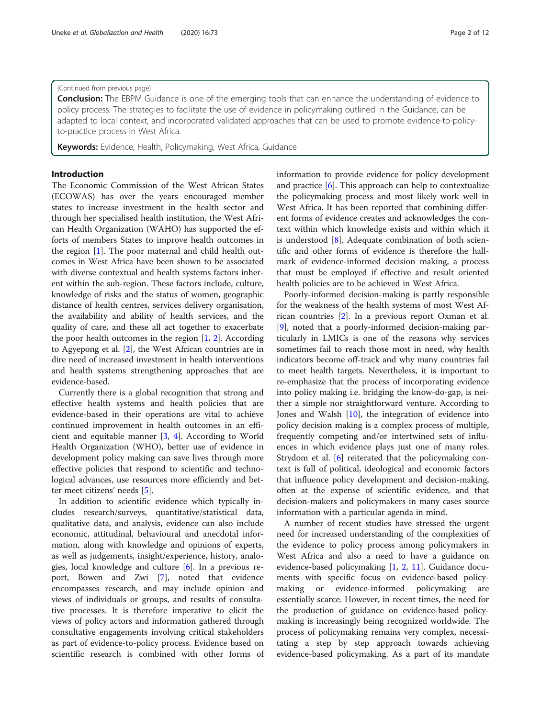## Uneke et al. Globalization and Health (2020) 16:73 Page 2 of 12

## (Continued from previous page)

**Conclusion:** The EBPM Guidance is one of the emerging tools that can enhance the understanding of evidence to policy process. The strategies to facilitate the use of evidence in policymaking outlined in the Guidance, can be adapted to local context, and incorporated validated approaches that can be used to promote evidence-to-policyto-practice process in West Africa.

Keywords: Evidence, Health, Policymaking, West Africa, Guidance

## Introduction

The Economic Commission of the West African States (ECOWAS) has over the years encouraged member states to increase investment in the health sector and through her specialised health institution, the West African Health Organization (WAHO) has supported the efforts of members States to improve health outcomes in the region [[1\]](#page-9-0). The poor maternal and child health outcomes in West Africa have been shown to be associated with diverse contextual and health systems factors inherent within the sub-region. These factors include, culture, knowledge of risks and the status of women, geographic distance of health centres, services delivery organisation, the availability and ability of health services, and the quality of care, and these all act together to exacerbate the poor health outcomes in the region  $[1, 2]$  $[1, 2]$  $[1, 2]$  $[1, 2]$ . According to Agyepong et al. [[2](#page-9-0)], the West African countries are in dire need of increased investment in health interventions and health systems strengthening approaches that are evidence-based.

Currently there is a global recognition that strong and effective health systems and health policies that are evidence-based in their operations are vital to achieve continued improvement in health outcomes in an efficient and equitable manner [[3,](#page-9-0) [4\]](#page-9-0). According to World Health Organization (WHO), better use of evidence in development policy making can save lives through more effective policies that respond to scientific and technological advances, use resources more efficiently and better meet citizens' needs [[5\]](#page-9-0).

In addition to scientific evidence which typically includes research/surveys, quantitative/statistical data, qualitative data, and analysis, evidence can also include economic, attitudinal, behavioural and anecdotal information, along with knowledge and opinions of experts, as well as judgements, insight/experience, history, analogies, local knowledge and culture [\[6](#page-9-0)]. In a previous report, Bowen and Zwi [\[7](#page-9-0)], noted that evidence encompasses research, and may include opinion and views of individuals or groups, and results of consultative processes. It is therefore imperative to elicit the views of policy actors and information gathered through consultative engagements involving critical stakeholders as part of evidence-to-policy process. Evidence based on scientific research is combined with other forms of information to provide evidence for policy development and practice  $[6]$  $[6]$ . This approach can help to contextualize the policymaking process and most likely work well in West Africa. It has been reported that combining different forms of evidence creates and acknowledges the context within which knowledge exists and within which it is understood [\[8](#page-9-0)]. Adequate combination of both scientific and other forms of evidence is therefore the hallmark of evidence-informed decision making, a process that must be employed if effective and result oriented health policies are to be achieved in West Africa.

Poorly-informed decision-making is partly responsible for the weakness of the health systems of most West African countries [[2](#page-9-0)]. In a previous report Oxman et al. [[9\]](#page-9-0), noted that a poorly-informed decision-making particularly in LMICs is one of the reasons why services sometimes fail to reach those most in need, why health indicators become off-track and why many countries fail to meet health targets. Nevertheless, it is important to re-emphasize that the process of incorporating evidence into policy making i.e. bridging the know-do-gap, is neither a simple nor straightforward venture. According to Jones and Walsh [\[10\]](#page-10-0), the integration of evidence into policy decision making is a complex process of multiple, frequently competing and/or intertwined sets of influences in which evidence plays just one of many roles. Strydom et al. [[6\]](#page-9-0) reiterated that the policymaking context is full of political, ideological and economic factors that influence policy development and decision-making, often at the expense of scientific evidence, and that decision-makers and policymakers in many cases source information with a particular agenda in mind.

A number of recent studies have stressed the urgent need for increased understanding of the complexities of the evidence to policy process among policymakers in West Africa and also a need to have a guidance on evidence-based policymaking [[1,](#page-9-0) [2](#page-9-0), [11](#page-10-0)]. Guidance documents with specific focus on evidence-based policymaking or evidence-informed policymaking are essentially scarce. However, in recent times, the need for the production of guidance on evidence-based policymaking is increasingly being recognized worldwide. The process of policymaking remains very complex, necessitating a step by step approach towards achieving evidence-based policymaking. As a part of its mandate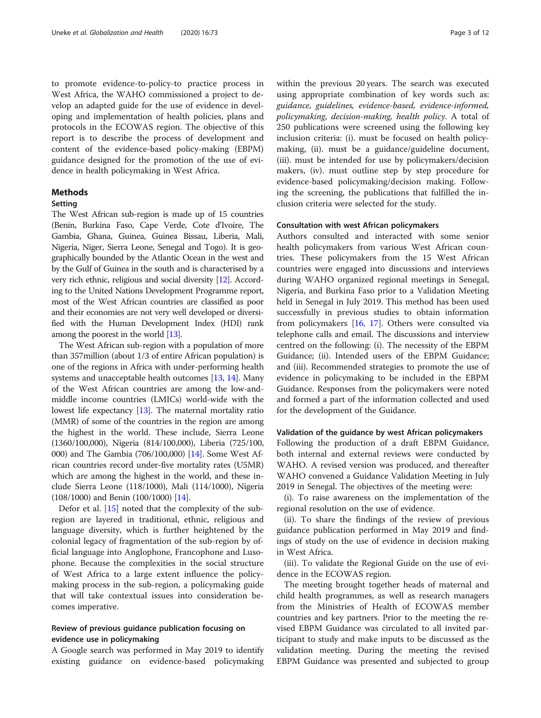to promote evidence-to-policy-to practice process in West Africa, the WAHO commissioned a project to develop an adapted guide for the use of evidence in developing and implementation of health policies, plans and protocols in the ECOWAS region. The objective of this report is to describe the process of development and content of the evidence-based policy-making (EBPM) guidance designed for the promotion of the use of evidence in health policymaking in West Africa.

## Methods

## Setting

The West African sub-region is made up of 15 countries (Benin, Burkina Faso, Cape Verde, Cote d'Ivoire, The Gambia, Ghana, Guinea, Guinea Bissau, Liberia, Mali, Nigeria, Niger, Sierra Leone, Senegal and Togo). It is geographically bounded by the Atlantic Ocean in the west and by the Gulf of Guinea in the south and is characterised by a very rich ethnic, religious and social diversity [[12](#page-10-0)]. According to the United Nations Development Programme report, most of the West African countries are classified as poor and their economies are not very well developed or diversified with the Human Development Index (HDI) rank among the poorest in the world [\[13\]](#page-10-0).

The West African sub-region with a population of more than 357million (about 1/3 of entire African population) is one of the regions in Africa with under-performing health systems and unacceptable health outcomes [\[13,](#page-10-0) [14](#page-10-0)]. Many of the West African countries are among the low-andmiddle income countries (LMICs) world-wide with the lowest life expectancy [\[13\]](#page-10-0). The maternal mortality ratio (MMR) of some of the countries in the region are among the highest in the world. These include, Sierra Leone (1360/100,000), Nigeria (814/100,000), Liberia (725/100, 000) and The Gambia (706/100,000) [\[14\]](#page-10-0). Some West African countries record under-five mortality rates (U5MR) which are among the highest in the world, and these include Sierra Leone (118/1000), Mali (114/1000), Nigeria (108/1000) and Benin (100/1000) [\[14\]](#page-10-0).

Defor et al. [[15\]](#page-10-0) noted that the complexity of the subregion are layered in traditional, ethnic, religious and language diversity, which is further heightened by the colonial legacy of fragmentation of the sub-region by official language into Anglophone, Francophone and Lusophone. Because the complexities in the social structure of West Africa to a large extent influence the policymaking process in the sub-region, a policymaking guide that will take contextual issues into consideration becomes imperative.

## Review of previous guidance publication focusing on evidence use in policymaking

A Google search was performed in May 2019 to identify existing guidance on evidence-based policymaking within the previous 20 years. The search was executed using appropriate combination of key words such as: guidance, guidelines, evidence-based, evidence-informed, policymaking, decision-making, health policy. A total of 250 publications were screened using the following key inclusion criteria: (i). must be focused on health policymaking, (ii). must be a guidance/guideline document, (iii). must be intended for use by policymakers/decision makers, (iv). must outline step by step procedure for evidence-based policymaking/decision making. Following the screening, the publications that fulfilled the inclusion criteria were selected for the study.

## Consultation with west African policymakers

Authors consulted and interacted with some senior health policymakers from various West African countries. These policymakers from the 15 West African countries were engaged into discussions and interviews during WAHO organized regional meetings in Senegal, Nigeria, and Burkina Faso prior to a Validation Meeting held in Senegal in July 2019. This method has been used successfully in previous studies to obtain information from policymakers [\[16](#page-10-0), [17\]](#page-10-0). Others were consulted via telephone calls and email. The discussions and interview centred on the following: (i). The necessity of the EBPM Guidance; (ii). Intended users of the EBPM Guidance; and (iii). Recommended strategies to promote the use of evidence in policymaking to be included in the EBPM Guidance. Responses from the policymakers were noted and formed a part of the information collected and used for the development of the Guidance.

#### Validation of the guidance by west African policymakers

Following the production of a draft EBPM Guidance, both internal and external reviews were conducted by WAHO. A revised version was produced, and thereafter WAHO convened a Guidance Validation Meeting in July 2019 in Senegal. The objectives of the meeting were:

(i). To raise awareness on the implementation of the regional resolution on the use of evidence.

(ii). To share the findings of the review of previous guidance publication performed in May 2019 and findings of study on the use of evidence in decision making in West Africa.

(iii). To validate the Regional Guide on the use of evidence in the ECOWAS region.

The meeting brought together heads of maternal and child health programmes, as well as research managers from the Ministries of Health of ECOWAS member countries and key partners. Prior to the meeting the revised EBPM Guidance was circulated to all invited participant to study and make inputs to be discussed as the validation meeting. During the meeting the revised EBPM Guidance was presented and subjected to group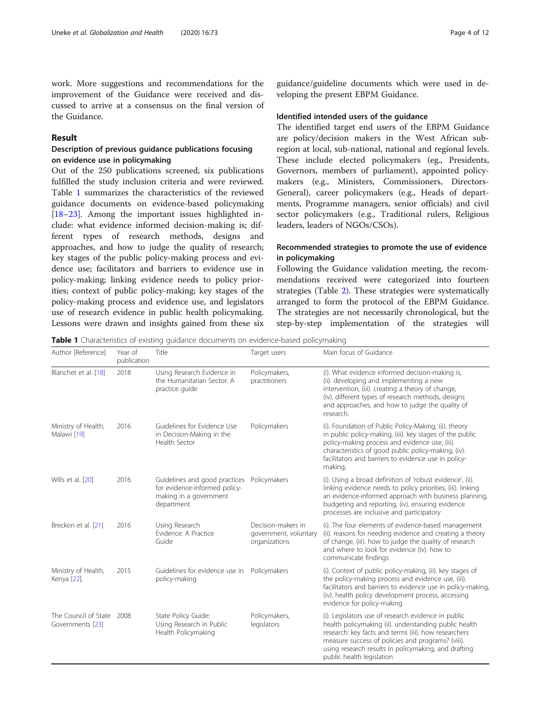work. More suggestions and recommendations for the improvement of the Guidance were received and discussed to arrive at a consensus on the final version of the Guidance.

## Result

## Description of previous guidance publications focusing on evidence use in policymaking

Out of the 250 publications screened, six publications fulfilled the study inclusion criteria and were reviewed. Table 1 summarizes the characteristics of the reviewed guidance documents on evidence-based policymaking [[18](#page-10-0)–[23](#page-10-0)]. Among the important issues highlighted include: what evidence informed decision-making is; different types of research methods, designs and approaches, and how to judge the quality of research; key stages of the public policy-making process and evidence use; facilitators and barriers to evidence use in policy-making; linking evidence needs to policy priorities; context of public policy-making; key stages of the policy-making process and evidence use, and legislators use of research evidence in public health policymaking. Lessons were drawn and insights gained from these six guidance/guideline documents which were used in developing the present EBPM Guidance.

## Identified intended users of the guidance

The identified target end users of the EBPM Guidance are policy/decision makers in the West African subregion at local, sub-national, national and regional levels. These include elected policymakers (eg., Presidents, Governors, members of parliament), appointed policymakers (e.g., Ministers, Commissioners, Directors-General), career policymakers (e.g., Heads of departments, Programme managers, senior officials) and civil sector policymakers (e.g., Traditional rulers, Religious leaders, leaders of NGOs/CSOs).

## Recommended strategies to promote the use of evidence in policymaking

Following the Guidance validation meeting, the recommendations received were categorized into fourteen strategies (Table [2\)](#page-4-0). These strategies were systematically arranged to form the protocol of the EBPM Guidance. The strategies are not necessarily chronological, but the step-by-step implementation of the strategies will

Table 1 Characteristics of existing guidance documents on evidence-based policymaking

| Author [Reference]                            | Year of<br>publication | Title                                                                                                  | Target users                                                 | Main focus of Guidance                                                                                                                                                                                                                                                                                         |
|-----------------------------------------------|------------------------|--------------------------------------------------------------------------------------------------------|--------------------------------------------------------------|----------------------------------------------------------------------------------------------------------------------------------------------------------------------------------------------------------------------------------------------------------------------------------------------------------------|
| Blanchet et al. [18]                          | 2018                   | Using Research Evidence in<br>the Humanitarian Sector: A<br>practice guide                             | Policymakers,<br>practitioners                               | (i). What evidence informed decision-making is,<br>(ii). developing and implementing a new<br>intervention, (iii). creating a theory of change,<br>(iv). different types of research methods, designs<br>and approaches, and how to judge the quality of<br>research.                                          |
| Ministry of Health,<br>Malawi [19]            | 2016                   | Guidelines for Evidence Use<br>in Decision-Making in the<br>Health Sector                              | Policymakers                                                 | (i). Foundation of Public Policy-Making, (ii). theory<br>in public policy-making, (iii). key stages of the public<br>policy-making process and evidence use, (iii).<br>characteristics of good public policy-making, (iv).<br>facilitators and barriers to evidence use in policy-<br>making,                  |
| Wills et al. [20]                             | 2016                   | Guidelines and good practices<br>for evidence-informed policy-<br>making in a government<br>department | Policymakers                                                 | (i). Using a broad definition of 'robust evidence', (ii).<br>linking evidence needs to policy priorities, (iii). linking<br>an evidence-informed approach with business planning,<br>budgeting and reporting, (iv). ensuring evidence<br>processes are inclusive and participatory                             |
| Breckon et al. [21]                           | 2016                   | Using Research<br>Evidence: A Practice<br>Guide                                                        | Decision-makers in<br>government, voluntary<br>organizations | (i). The four elements of evidence-based management<br>(ii). reasons for needing evidence and creating a theory<br>of change, (iii). how to judge the quality of research<br>and where to look for evidence (iv). how to<br>communicate findings                                                               |
| Ministry of Health,<br>Kenya [22].            | 2015                   | Guidelines for evidence use in<br>policy-making                                                        | Policymakers                                                 | (i). Context of public policy-making, (ii). key stages of<br>the policy-making process and evidence use, (iii).<br>facilitators and barriers to evidence use in policy-making,<br>(iv). health policy development process, accessing<br>evidence for policy-making                                             |
| The Council of State 2008<br>Governments [23] |                        | State Policy Guide:<br>Using Research in Public<br>Health Policymaking                                 | Policymakers,<br>legislators                                 | (i). Legislators use of research evidence in public<br>health policymaking (ii), understanding public health<br>research: key facts and terms (iii). how researchers<br>measure success of policies and programs? (viii).<br>using research results in policymaking, and drafting<br>public health legislation |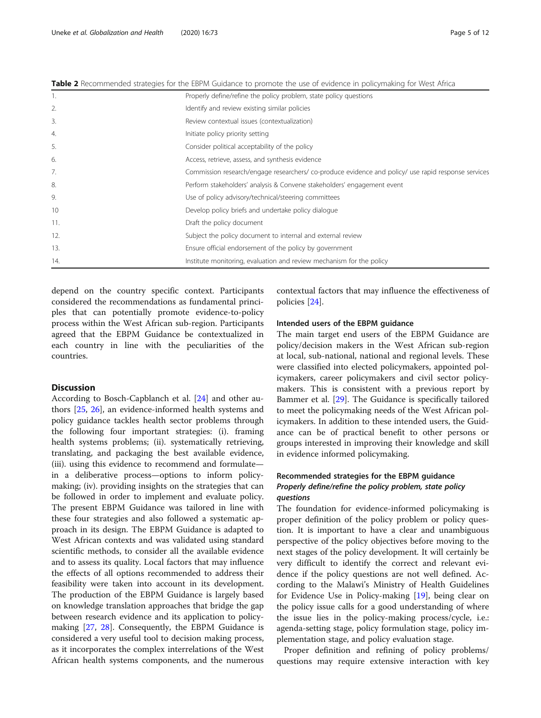<span id="page-4-0"></span>

| Table 2 Recommended strategies for the EBPM Guidance to promote the use of evidence in policymaking for West Africa |  |  |  |
|---------------------------------------------------------------------------------------------------------------------|--|--|--|
|                                                                                                                     |  |  |  |

| 1.  | Properly define/refine the policy problem, state policy questions                                 |
|-----|---------------------------------------------------------------------------------------------------|
| 2.  | Identify and review existing similar policies                                                     |
| 3.  | Review contextual issues (contextualization)                                                      |
| 4.  | Initiate policy priority setting                                                                  |
| 5.  | Consider political acceptability of the policy                                                    |
| 6.  | Access, retrieve, assess, and synthesis evidence                                                  |
| 7.  | Commission research/engage researchers/co-produce evidence and policy/use rapid response services |
| 8.  | Perform stakeholders' analysis & Convene stakeholders' engagement event                           |
| 9.  | Use of policy advisory/technical/steering committees                                              |
| 10  | Develop policy briefs and undertake policy dialogue                                               |
| 11. | Draft the policy document                                                                         |
| 12. | Subject the policy document to internal and external review                                       |
| 13. | Ensure official endorsement of the policy by government                                           |
| 14. | Institute monitoring, evaluation and review mechanism for the policy                              |

depend on the country specific context. Participants considered the recommendations as fundamental principles that can potentially promote evidence-to-policy process within the West African sub-region. Participants agreed that the EBPM Guidance be contextualized in each country in line with the peculiarities of the countries.

## **Discussion**

According to Bosch-Capblanch et al. [[24\]](#page-10-0) and other authors [\[25](#page-10-0), [26\]](#page-10-0), an evidence-informed health systems and policy guidance tackles health sector problems through the following four important strategies: (i). framing health systems problems; (ii). systematically retrieving, translating, and packaging the best available evidence, (iii). using this evidence to recommend and formulate in a deliberative process—options to inform policymaking; (iv). providing insights on the strategies that can be followed in order to implement and evaluate policy. The present EBPM Guidance was tailored in line with these four strategies and also followed a systematic approach in its design. The EBPM Guidance is adapted to West African contexts and was validated using standard scientific methods, to consider all the available evidence and to assess its quality. Local factors that may influence the effects of all options recommended to address their feasibility were taken into account in its development. The production of the EBPM Guidance is largely based on knowledge translation approaches that bridge the gap between research evidence and its application to policymaking [[27](#page-10-0), [28\]](#page-10-0). Consequently, the EBPM Guidance is considered a very useful tool to decision making process, as it incorporates the complex interrelations of the West African health systems components, and the numerous

contextual factors that may influence the effectiveness of policies [\[24](#page-10-0)].

## Intended users of the EBPM guidance

The main target end users of the EBPM Guidance are policy/decision makers in the West African sub-region at local, sub-national, national and regional levels. These were classified into elected policymakers, appointed policymakers, career policymakers and civil sector policymakers. This is consistent with a previous report by Bammer et al. [[29](#page-10-0)]. The Guidance is specifically tailored to meet the policymaking needs of the West African policymakers. In addition to these intended users, the Guidance can be of practical benefit to other persons or groups interested in improving their knowledge and skill in evidence informed policymaking.

## Recommended strategies for the EBPM guidance Properly define/refine the policy problem, state policy questions

The foundation for evidence-informed policymaking is proper definition of the policy problem or policy question. It is important to have a clear and unambiguous perspective of the policy objectives before moving to the next stages of the policy development. It will certainly be very difficult to identify the correct and relevant evidence if the policy questions are not well defined. According to the Malawi's Ministry of Health Guidelines for Evidence Use in Policy-making [[19](#page-10-0)], being clear on the policy issue calls for a good understanding of where the issue lies in the policy-making process/cycle, i.e.: agenda-setting stage, policy formulation stage, policy implementation stage, and policy evaluation stage.

Proper definition and refining of policy problems/ questions may require extensive interaction with key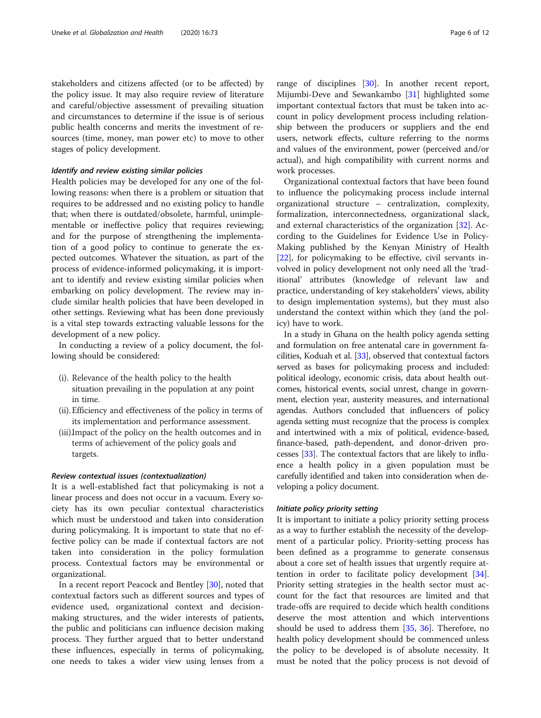stakeholders and citizens affected (or to be affected) by the policy issue. It may also require review of literature and careful/objective assessment of prevailing situation and circumstances to determine if the issue is of serious public health concerns and merits the investment of resources (time, money, man power etc) to move to other stages of policy development.

#### Identify and review existing similar policies

Health policies may be developed for any one of the following reasons: when there is a problem or situation that requires to be addressed and no existing policy to handle that; when there is outdated/obsolete, harmful, unimplementable or ineffective policy that requires reviewing; and for the purpose of strengthening the implementation of a good policy to continue to generate the expected outcomes. Whatever the situation, as part of the process of evidence-informed policymaking, it is important to identify and review existing similar policies when embarking on policy development. The review may include similar health policies that have been developed in other settings. Reviewing what has been done previously is a vital step towards extracting valuable lessons for the development of a new policy.

In conducting a review of a policy document, the following should be considered:

- (i). Relevance of the health policy to the health situation prevailing in the population at any point in time.
- (ii). Efficiency and effectiveness of the policy in terms of its implementation and performance assessment.
- (iii).Impact of the policy on the health outcomes and in terms of achievement of the policy goals and targets.

## Review contextual issues (contextualization)

It is a well-established fact that policymaking is not a linear process and does not occur in a vacuum. Every society has its own peculiar contextual characteristics which must be understood and taken into consideration during policymaking. It is important to state that no effective policy can be made if contextual factors are not taken into consideration in the policy formulation process. Contextual factors may be environmental or organizational.

In a recent report Peacock and Bentley [\[30](#page-10-0)], noted that contextual factors such as different sources and types of evidence used, organizational context and decisionmaking structures, and the wider interests of patients, the public and politicians can influence decision making process. They further argued that to better understand these influences, especially in terms of policymaking, one needs to takes a wider view using lenses from a range of disciplines [\[30\]](#page-10-0). In another recent report, Mijumbi-Deve and Sewankambo [\[31](#page-10-0)] highlighted some important contextual factors that must be taken into account in policy development process including relationship between the producers or suppliers and the end users, network effects, culture referring to the norms and values of the environment, power (perceived and/or actual), and high compatibility with current norms and work processes.

Organizational contextual factors that have been found to influence the policymaking process include internal organizational structure – centralization, complexity, formalization, interconnectedness, organizational slack, and external characteristics of the organization [\[32](#page-10-0)]. According to the Guidelines for Evidence Use in Policy-Making published by the Kenyan Ministry of Health [[22\]](#page-10-0), for policymaking to be effective, civil servants involved in policy development not only need all the 'traditional' attributes (knowledge of relevant law and practice, understanding of key stakeholders' views, ability to design implementation systems), but they must also understand the context within which they (and the policy) have to work.

In a study in Ghana on the health policy agenda setting and formulation on free antenatal care in government facilities, Koduah et al. [\[33\]](#page-10-0), observed that contextual factors served as bases for policymaking process and included: political ideology, economic crisis, data about health outcomes, historical events, social unrest, change in government, election year, austerity measures, and international agendas. Authors concluded that influencers of policy agenda setting must recognize that the process is complex and intertwined with a mix of political, evidence-based, finance-based, path-dependent, and donor-driven processes [\[33\]](#page-10-0). The contextual factors that are likely to influence a health policy in a given population must be carefully identified and taken into consideration when developing a policy document.

#### Initiate policy priority setting

It is important to initiate a policy priority setting process as a way to further establish the necessity of the development of a particular policy. Priority-setting process has been defined as a programme to generate consensus about a core set of health issues that urgently require attention in order to facilitate policy development [\[34](#page-10-0)]. Priority setting strategies in the health sector must account for the fact that resources are limited and that trade-offs are required to decide which health conditions deserve the most attention and which interventions should be used to address them [[35](#page-10-0), [36](#page-10-0)]. Therefore, no health policy development should be commenced unless the policy to be developed is of absolute necessity. It must be noted that the policy process is not devoid of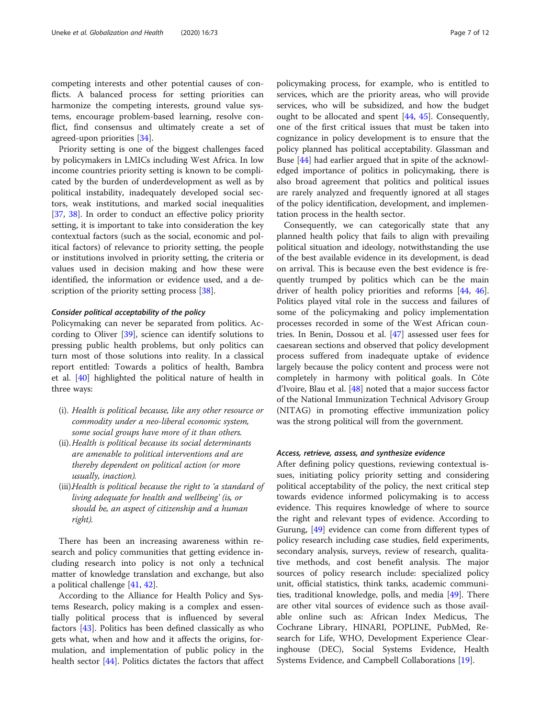competing interests and other potential causes of conflicts. A balanced process for setting priorities can harmonize the competing interests, ground value systems, encourage problem-based learning, resolve conflict, find consensus and ultimately create a set of agreed-upon priorities [[34\]](#page-10-0).

Priority setting is one of the biggest challenges faced by policymakers in LMICs including West Africa. In low income countries priority setting is known to be complicated by the burden of underdevelopment as well as by political instability, inadequately developed social sectors, weak institutions, and marked social inequalities [[37,](#page-10-0) [38](#page-10-0)]. In order to conduct an effective policy priority setting, it is important to take into consideration the key contextual factors (such as the social, economic and political factors) of relevance to priority setting, the people or institutions involved in priority setting, the criteria or values used in decision making and how these were identified, the information or evidence used, and a de-scription of the priority setting process [\[38](#page-10-0)].

#### Consider political acceptability of the policy

Policymaking can never be separated from politics. According to Oliver  $[39]$  $[39]$ , science can identify solutions to pressing public health problems, but only politics can turn most of those solutions into reality. In a classical report entitled: Towards a politics of health, Bambra et al. [[40\]](#page-10-0) highlighted the political nature of health in three ways:

- (i). Health is political because, like any other resource or commodity under a neo-liberal economic system, some social groups have more of it than others.
- (ii).Health is political because its social determinants are amenable to political interventions and are thereby dependent on political action (or more usually, inaction).
- (iii).Health is political because the right to 'a standard of living adequate for health and wellbeing' (is, or should be, an aspect of citizenship and a human right).

There has been an increasing awareness within research and policy communities that getting evidence including research into policy is not only a technical matter of knowledge translation and exchange, but also a political challenge [[41,](#page-10-0) [42](#page-10-0)].

According to the Alliance for Health Policy and Systems Research, policy making is a complex and essentially political process that is influenced by several factors [\[43\]](#page-10-0). Politics has been defined classically as who gets what, when and how and it affects the origins, formulation, and implementation of public policy in the health sector [\[44](#page-10-0)]. Politics dictates the factors that affect

policymaking process, for example, who is entitled to services, which are the priority areas, who will provide services, who will be subsidized, and how the budget ought to be allocated and spent [[44,](#page-10-0) [45](#page-10-0)]. Consequently, one of the first critical issues that must be taken into cognizance in policy development is to ensure that the policy planned has political acceptability. Glassman and Buse [\[44\]](#page-10-0) had earlier argued that in spite of the acknowledged importance of politics in policymaking, there is also broad agreement that politics and political issues are rarely analyzed and frequently ignored at all stages of the policy identification, development, and implementation process in the health sector.

Consequently, we can categorically state that any planned health policy that fails to align with prevailing political situation and ideology, notwithstanding the use of the best available evidence in its development, is dead on arrival. This is because even the best evidence is frequently trumped by politics which can be the main driver of health policy priorities and reforms [[44](#page-10-0), [46](#page-10-0)]. Politics played vital role in the success and failures of some of the policymaking and policy implementation processes recorded in some of the West African countries. In Benin, Dossou et al. [\[47](#page-10-0)] assessed user fees for caesarean sections and observed that policy development process suffered from inadequate uptake of evidence largely because the policy content and process were not completely in harmony with political goals. In Côte d'Ivoire, Blau et al. [\[48\]](#page-10-0) noted that a major success factor of the National Immunization Technical Advisory Group (NITAG) in promoting effective immunization policy was the strong political will from the government.

#### Access, retrieve, assess, and synthesize evidence

After defining policy questions, reviewing contextual issues, initiating policy priority setting and considering political acceptability of the policy, the next critical step towards evidence informed policymaking is to access evidence. This requires knowledge of where to source the right and relevant types of evidence. According to Gurung, [\[49](#page-10-0)] evidence can come from different types of policy research including case studies, field experiments, secondary analysis, surveys, review of research, qualitative methods, and cost benefit analysis. The major sources of policy research include: specialized policy unit, official statistics, think tanks, academic communities, traditional knowledge, polls, and media [\[49](#page-10-0)]. There are other vital sources of evidence such as those available online such as: African Index Medicus, The Cochrane Library, HINARI, POPLINE, PubMed, Research for Life, WHO, Development Experience Clearinghouse (DEC), Social Systems Evidence, Health Systems Evidence, and Campbell Collaborations [[19](#page-10-0)].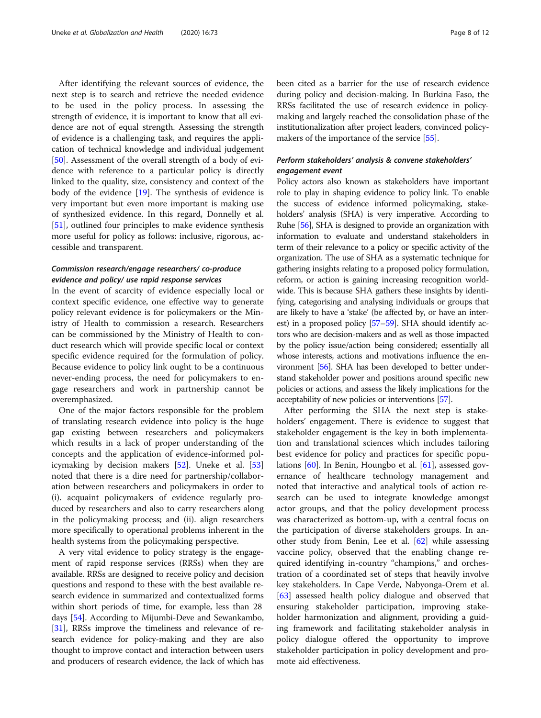After identifying the relevant sources of evidence, the next step is to search and retrieve the needed evidence to be used in the policy process. In assessing the strength of evidence, it is important to know that all evidence are not of equal strength. Assessing the strength of evidence is a challenging task, and requires the application of technical knowledge and individual judgement [[50\]](#page-10-0). Assessment of the overall strength of a body of evidence with reference to a particular policy is directly linked to the quality, size, consistency and context of the body of the evidence [\[19](#page-10-0)]. The synthesis of evidence is very important but even more important is making use of synthesized evidence. In this regard, Donnelly et al. [[51\]](#page-10-0), outlined four principles to make evidence synthesis more useful for policy as follows: inclusive, rigorous, accessible and transparent.

## Commission research/engage researchers/ co-produce evidence and policy/ use rapid response services

In the event of scarcity of evidence especially local or context specific evidence, one effective way to generate policy relevant evidence is for policymakers or the Ministry of Health to commission a research. Researchers can be commissioned by the Ministry of Health to conduct research which will provide specific local or context specific evidence required for the formulation of policy. Because evidence to policy link ought to be a continuous never-ending process, the need for policymakers to engage researchers and work in partnership cannot be overemphasized.

One of the major factors responsible for the problem of translating research evidence into policy is the huge gap existing between researchers and policymakers which results in a lack of proper understanding of the concepts and the application of evidence-informed policymaking by decision makers [\[52\]](#page-10-0). Uneke et al. [[53](#page-11-0)] noted that there is a dire need for partnership/collaboration between researchers and policymakers in order to (i). acquaint policymakers of evidence regularly produced by researchers and also to carry researchers along in the policymaking process; and (ii). align researchers more specifically to operational problems inherent in the health systems from the policymaking perspective.

A very vital evidence to policy strategy is the engagement of rapid response services (RRSs) when they are available. RRSs are designed to receive policy and decision questions and respond to these with the best available research evidence in summarized and contextualized forms within short periods of time, for example, less than 28 days [[54](#page-11-0)]. According to Mijumbi-Deve and Sewankambo, [[31](#page-10-0)], RRSs improve the timeliness and relevance of research evidence for policy-making and they are also thought to improve contact and interaction between users and producers of research evidence, the lack of which has been cited as a barrier for the use of research evidence during policy and decision-making. In Burkina Faso, the RRSs facilitated the use of research evidence in policymaking and largely reached the consolidation phase of the institutionalization after project leaders, convinced policymakers of the importance of the service [[55](#page-11-0)].

## Perform stakeholders' analysis & convene stakeholders' engagement event

Policy actors also known as stakeholders have important role to play in shaping evidence to policy link. To enable the success of evidence informed policymaking, stakeholders' analysis (SHA) is very imperative. According to Ruhe [[56](#page-11-0)], SHA is designed to provide an organization with information to evaluate and understand stakeholders in term of their relevance to a policy or specific activity of the organization. The use of SHA as a systematic technique for gathering insights relating to a proposed policy formulation, reform, or action is gaining increasing recognition worldwide. This is because SHA gathers these insights by identifying, categorising and analysing individuals or groups that are likely to have a 'stake' (be affected by, or have an interest) in a proposed policy [\[57](#page-11-0)–[59\]](#page-11-0). SHA should identify actors who are decision-makers and as well as those impacted by the policy issue/action being considered; essentially all whose interests, actions and motivations influence the environment [\[56](#page-11-0)]. SHA has been developed to better understand stakeholder power and positions around specific new policies or actions, and assess the likely implications for the acceptability of new policies or interventions [\[57\]](#page-11-0).

After performing the SHA the next step is stakeholders' engagement. There is evidence to suggest that stakeholder engagement is the key in both implementation and translational sciences which includes tailoring best evidence for policy and practices for specific populations [\[60\]](#page-11-0). In Benin, Houngbo et al. [[61](#page-11-0)], assessed governance of healthcare technology management and noted that interactive and analytical tools of action research can be used to integrate knowledge amongst actor groups, and that the policy development process was characterized as bottom-up, with a central focus on the participation of diverse stakeholders groups. In another study from Benin, Lee et al. [[62](#page-11-0)] while assessing vaccine policy, observed that the enabling change required identifying in-country "champions," and orchestration of a coordinated set of steps that heavily involve key stakeholders. In Cape Verde, Nabyonga-Orem et al. [[63\]](#page-11-0) assessed health policy dialogue and observed that ensuring stakeholder participation, improving stakeholder harmonization and alignment, providing a guiding framework and facilitating stakeholder analysis in policy dialogue offered the opportunity to improve stakeholder participation in policy development and promote aid effectiveness.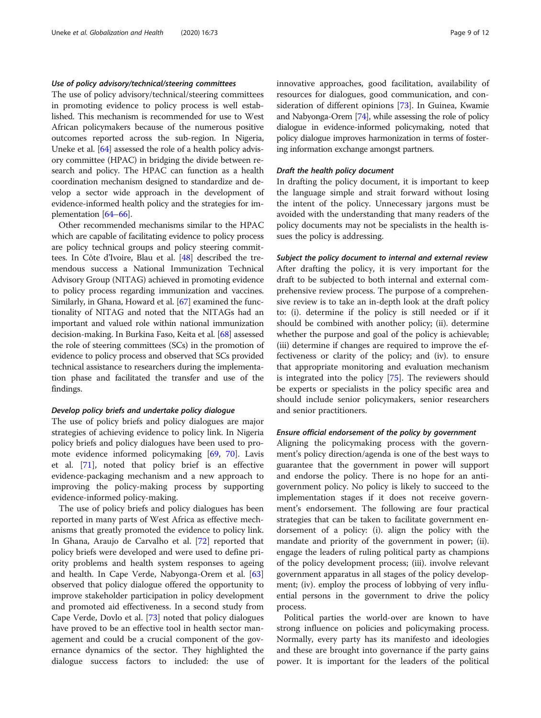## Use of policy advisory/technical/steering committees

The use of policy advisory/technical/steering committees in promoting evidence to policy process is well established. This mechanism is recommended for use to West African policymakers because of the numerous positive outcomes reported across the sub-region. In Nigeria, Uneke et al. [\[64\]](#page-11-0) assessed the role of a health policy advisory committee (HPAC) in bridging the divide between research and policy. The HPAC can function as a health coordination mechanism designed to standardize and develop a sector wide approach in the development of evidence-informed health policy and the strategies for implementation [\[64](#page-11-0)–[66](#page-11-0)].

Other recommended mechanisms similar to the HPAC which are capable of facilitating evidence to policy process are policy technical groups and policy steering committees. In Côte d'Ivoire, Blau et al. [\[48\]](#page-10-0) described the tremendous success a National Immunization Technical Advisory Group (NITAG) achieved in promoting evidence to policy process regarding immunization and vaccines. Similarly, in Ghana, Howard et al. [\[67](#page-11-0)] examined the functionality of NITAG and noted that the NITAGs had an important and valued role within national immunization decision-making. In Burkina Faso, Keita et al. [\[68](#page-11-0)] assessed the role of steering committees (SCs) in the promotion of evidence to policy process and observed that SCs provided technical assistance to researchers during the implementation phase and facilitated the transfer and use of the findings.

## Develop policy briefs and undertake policy dialogue

The use of policy briefs and policy dialogues are major strategies of achieving evidence to policy link. In Nigeria policy briefs and policy dialogues have been used to promote evidence informed policymaking [\[69,](#page-11-0) [70\]](#page-11-0). Lavis et al. [\[71](#page-11-0)], noted that policy brief is an effective evidence-packaging mechanism and a new approach to improving the policy-making process by supporting evidence-informed policy-making.

The use of policy briefs and policy dialogues has been reported in many parts of West Africa as effective mechanisms that greatly promoted the evidence to policy link. In Ghana, Araujo de Carvalho et al. [\[72\]](#page-11-0) reported that policy briefs were developed and were used to define priority problems and health system responses to ageing and health. In Cape Verde, Nabyonga-Orem et al. [[63](#page-11-0)] observed that policy dialogue offered the opportunity to improve stakeholder participation in policy development and promoted aid effectiveness. In a second study from Cape Verde, Dovlo et al. [[73](#page-11-0)] noted that policy dialogues have proved to be an effective tool in health sector management and could be a crucial component of the governance dynamics of the sector. They highlighted the dialogue success factors to included: the use of innovative approaches, good facilitation, availability of resources for dialogues, good communication, and consideration of different opinions [\[73](#page-11-0)]. In Guinea, Kwamie and Nabyonga-Orem [[74](#page-11-0)], while assessing the role of policy dialogue in evidence-informed policymaking, noted that policy dialogue improves harmonization in terms of fostering information exchange amongst partners.

#### Draft the health policy document

In drafting the policy document, it is important to keep the language simple and strait forward without losing the intent of the policy. Unnecessary jargons must be avoided with the understanding that many readers of the policy documents may not be specialists in the health issues the policy is addressing.

Subject the policy document to internal and external review After drafting the policy, it is very important for the draft to be subjected to both internal and external comprehensive review process. The purpose of a comprehensive review is to take an in-depth look at the draft policy to: (i). determine if the policy is still needed or if it should be combined with another policy; (ii). determine whether the purpose and goal of the policy is achievable; (iii) determine if changes are required to improve the effectiveness or clarity of the policy; and (iv). to ensure that appropriate monitoring and evaluation mechanism is integrated into the policy [\[75](#page-11-0)]. The reviewers should be experts or specialists in the policy specific area and should include senior policymakers, senior researchers and senior practitioners.

#### Ensure official endorsement of the policy by government

Aligning the policymaking process with the government's policy direction/agenda is one of the best ways to guarantee that the government in power will support and endorse the policy. There is no hope for an antigovernment policy. No policy is likely to succeed to the implementation stages if it does not receive government's endorsement. The following are four practical strategies that can be taken to facilitate government endorsement of a policy: (i). align the policy with the mandate and priority of the government in power; (ii). engage the leaders of ruling political party as champions of the policy development process; (iii). involve relevant government apparatus in all stages of the policy development; (iv). employ the process of lobbying of very influential persons in the government to drive the policy process.

Political parties the world-over are known to have strong influence on policies and policymaking process. Normally, every party has its manifesto and ideologies and these are brought into governance if the party gains power. It is important for the leaders of the political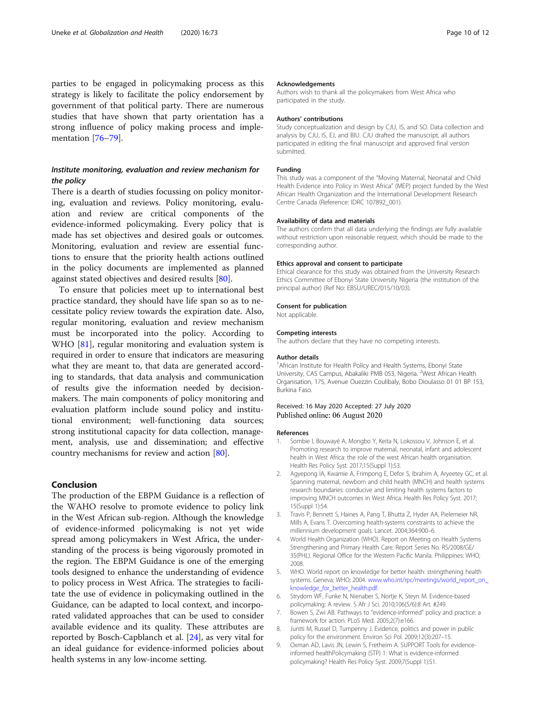<span id="page-9-0"></span>parties to be engaged in policymaking process as this strategy is likely to facilitate the policy endorsement by government of that political party. There are numerous studies that have shown that party orientation has a strong influence of policy making process and imple-mentation [[76](#page-11-0)–[79](#page-11-0)].

## Institute monitoring, evaluation and review mechanism for the policy

There is a dearth of studies focussing on policy monitoring, evaluation and reviews. Policy monitoring, evaluation and review are critical components of the evidence-informed policymaking. Every policy that is made has set objectives and desired goals or outcomes. Monitoring, evaluation and review are essential functions to ensure that the priority health actions outlined in the policy documents are implemented as planned against stated objectives and desired results [[80\]](#page-11-0).

To ensure that policies meet up to international best practice standard, they should have life span so as to necessitate policy review towards the expiration date. Also, regular monitoring, evaluation and review mechanism must be incorporated into the policy. According to WHO [[81](#page-11-0)], regular monitoring and evaluation system is required in order to ensure that indicators are measuring what they are meant to, that data are generated according to standards, that data analysis and communication of results give the information needed by decisionmakers. The main components of policy monitoring and evaluation platform include sound policy and institutional environment; well-functioning data sources; strong institutional capacity for data collection, management, analysis, use and dissemination; and effective country mechanisms for review and action [[80](#page-11-0)].

## Conclusion

The production of the EBPM Guidance is a reflection of the WAHO resolve to promote evidence to policy link in the West African sub-region. Although the knowledge of evidence-informed policymaking is not yet wide spread among policymakers in West Africa, the understanding of the process is being vigorously promoted in the region. The EBPM Guidance is one of the emerging tools designed to enhance the understanding of evidence to policy process in West Africa. The strategies to facilitate the use of evidence in policymaking outlined in the Guidance, can be adapted to local context, and incorporated validated approaches that can be used to consider available evidence and its quality. These attributes are reported by Bosch-Capblanch et al. [[24](#page-10-0)], as very vital for an ideal guidance for evidence-informed policies about health systems in any low-income setting.

#### Acknowledgements

Authors wish to thank all the policymakers from West Africa who participated in the study.

#### Authors' contributions

Study conceptualization and design by CJU, IS, and SO. Data collection and analysis by CJU, IS, EJ, and BIU. CJU drafted the manuscript, all authors participated in editing the final manuscript and approved final version submitted.

#### Funding

This study was a component of the "Moving Maternal, Neonatal and Child Health Evidence into Policy in West Africa" (MEP) project funded by the West African Health Organization and the International Development Research Centre Canada (Reference: IDRC 107892\_001).

## Availability of data and materials

The authors confirm that all data underlying the findings are fully available without restriction upon reasonable request, which should be made to the corresponding author.

#### Ethics approval and consent to participate

Ethical clearance for this study was obtained from the University Research Ethics Committee of Ebonyi State University Nigeria (the institution of the principal author) (Ref No: EBSU/UREC/015/10/03).

#### Consent for publication

Not applicable.

#### Competing interests

The authors declare that they have no competing interests.

#### Author details

<sup>1</sup> African Institute for Health Policy and Health Systems, Ebonyi State University, CAS Campus, Abakaliki PMB 053, Nigeria. <sup>2</sup>West African Health Organisation, 175, Avenue Ouezzin Coulibaly, Bobo Dioulasso 01 01 BP 153, Burkina Faso.

## Received: 16 May 2020 Accepted: 27 July 2020 Published online: 06 August 2020

#### References

- 1. Sombie I, Bouwayé A, Mongbo Y, Keita N, Lokossou V, Johnson E, et al. Promoting research to improve maternal, neonatal, infant and adolescent health in West Africa: the role of the west African health organisation. Health Res Policy Syst. 2017;15(Suppl 1):53.
- Agyepong IA, Kwamie A, Frimpong E, Defor S, Ibrahim A, Aryeetey GC, et al. Spanning maternal, newborn and child health (MNCH) and health systems research boundaries: conducive and limiting health systems factors to improving MNCH outcomes in West Africa. Health Res Policy Syst. 2017; 15(Suppl 1):54.
- 3. Travis P, Bennett S, Haines A, Pang T, Bhutta Z, Hyder AA, Pielemeier NR, Mills A, Evans T. Overcoming health-systems constraints to achieve the millennium development goals. Lancet. 2004;364:900–6.
- 4. World Health Organization (WHO). Report on Meeting on Health Systems Strengthening and Primary Health Care. Report Series No. RS/2008/GE/ 35(PHL). Regional Office for the Western Pacific Manila. Philippines: WHO; 2008.
- 5. WHO. World report on knowledge for better health: strengthening health systems. Geneva: WHO; 2004. www.who.int/rpc/meetings/world\_report\_on [knowledge\\_for\\_better\\_health.pdf](http://www.who.int/rpc/meetings/world_report_on_knowledge_for_better_health.pdf).
- 6. Strydom WF, Funke N, Nienaber S, Nortje K, Steyn M. Evidence-based policymaking: A review. S Afr J Sci. 2010;106(5/6):8 Art. #249.
- 7. Bowen S, Zwi AB. Pathways to "evidence-informed" policy and practice: a framework for action. PLoS Med. 2005;2(7):e166.
- 8. Juntti M, Russel D, Turnpenny J. Evidence, politics and power in public policy for the environment. Environ Sci Pol. 2009;12(3):207–15.
- 9. Oxman AD, Lavis JN, Lewin S, Fretheim A. SUPPORT Tools for evidenceinformed healthPolicymaking (STP) 1: What is evidence-informed policymaking? Health Res Policy Syst. 2009;7(Suppl 1):S1.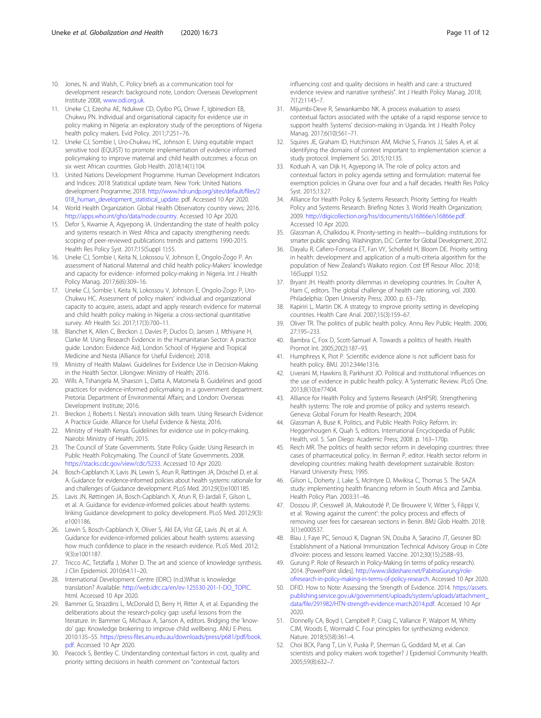- <span id="page-10-0"></span>10. Jones, N. and Walsh, C. Policy briefs as a communication tool for development research: background note, London: Overseas Development Institute 2008, [www.odi.org.uk](http://www.odi.org.uk).
- 11. Uneke CJ, Ezeoha AE, Ndukwe CD, Oyibo PG, Onwe F, Igbinedion EB, Chukwu PN. Individual and organisational capacity for evidence use in policy making in Nigeria: an exploratory study of the perceptions of Nigeria health policy makers. Evid Policy. 2011;7:251–76.
- 12. Uneke CJ, Sombie I, Uro-Chukwu HC, Johnson E. Using equitable impact sensitive tool (EQUIST) to promote implementation of evidence informed policymaking to improve maternal and child health outcomes: a focus on six west African countries. Glob Health. 2018;14(1):104.
- 13. United Nations Development Programme. Human Development Indicators and Indices: 2018 Statistical update team. New York: United Nations development Programme; 2018. [http://www.hdr.undp.org/sites/default/files/2](http://www.hdr.undp.org/sites/default/files/2018_human_development_statistical_update) [018\\_human\\_development\\_statistical\\_update.](http://www.hdr.undp.org/sites/default/files/2018_human_development_statistical_update) pdf. Accessed 10 Apr 2020.
- 14. World Health Organization. Global Health Observatory country views; 2016. [http://apps.who.int/gho/data/node.country.](http://apps.who.int/gho/data/node.country) Accessed 10 Apr 2020.
- 15. Defor S, Kwamie A, Agyepong IA. Understanding the state of health policy and systems research in West Africa and capacity strengthening needs: scoping of peer-reviewed publications trends and patterns 1990-2015. Health Res Policy Syst. 2017;15(Suppl 1):55.
- 16. Uneke CJ, Sombie I, Keita N, Lokossou V, Johnson E, Ongolo-Zogo P. An assessment of National Maternal and child health policy-Makers' knowledge and capacity for evidence- informed policy-making in Nigeria. Int J Health Policy Manag. 2017;6(6):309–16.
- 17. Uneke CJ, Sombie I, Keita N, Lokossou V, Johnson E, Ongolo-Zogo P, Uro-Chukwu HC. Assessment of policy makers' individual and organizational capacity to acquire, assess, adapt and apply research evidence for maternal and child health policy making in Nigeria: a cross-sectional quantitative survey. Afr Health Sci. 2017;17(3):700–11.
- 18. Blanchet K, Allen C, Breckon J, Davies P, Duclos D, Jansen J, Mthiyane H, Clarke M. Using Research Evidence in the Humanitarian Sector: A practice guide. London: Evidence Aid, London School of Hygiene and Tropical Medicine and Nesta (Alliance for Useful Evidence); 2018.
- 19. Ministry of Health Malawi. Guidelines for Evidence Use in Decision-Making in the Health Sector. Lilongwe: Ministry of Health; 2016.
- 20. Wills A, Tshangela M, Shaxson L, Datta A, Matomela B. Guidelines and good practices for evidence-informed policymaking in a government department. Pretoria: Department of Environmental Affairs; and London: Overseas Development Institute; 2016.
- 21. Breckon J, Roberts I. Nesta's innovation skills team. Using Research Evidence: A Practice Guide. Alliance for Useful Evidence & Nesta; 2016.
- 22. Ministry of Health Kenya. Guidelines for evidence use in policy-making. Nairobi: Ministry of Health; 2015.
- 23. The Council of State Governments. State Policy Guide: Using Research in Public Health Policymaking. The Council of State Governments. 2008. [https://stacks.cdc.gov/view/cdc/5233.](https://stacks.cdc.gov/view/cdc/5233) Accessed 10 Apr 2020.
- 24. Bosch-Capblanch X, Lavis JN, Lewin S, Atun R, Røttingen JA, Dröschel D, et al. A. Guidance for evidence-informed policies about health systems: rationale for and challenges of Guidance development. PLoS Med. 2012;9(3):e1001185.
- 25. Lavis JN, Røttingen JA, Bosch-Capblanch X, Atun R, El-Jardali F, Gilson L, et al. A. Guidance for evidence-informed policies about health systems: linking Guidance development to policy development. PLoS Med. 2012;9(3): e1001186.
- 26. Lewin S, Bosch-Capblanch X, Oliver S, Akl EA, Vist GE, Lavis JN, et al. A. Guidance for evidence-informed policies about health systems: assessing how much confidence to place in the research evidence. PLoS Med. 2012; 9(3):e1001187.
- 27. Tricco AC, Tetzlaffa J, Moher D. The art and science of knowledge synthesis. J Clin Epidemiol. 2010;64:11–20.
- 28. International Development Centre (IDRC) (n.d.)What is knowledge translation? Available: [http://web.idrc.ca/en/ev-125530-201-1-DO\\_TOPIC.](http://web.idrc.ca/en/ev-125530-201-1-DO_TOPIC) html. Accessed 10 Apr 2020.
- 29. Bammer G, Strazdins L, McDonald D, Berry H, Ritter A, et al. Expanding the deliberations about the research-policy gap: useful lessons from the literature. In: Bammer G, Michaux A, Sanson A, editors. Bridging the 'knowdo' gap: Knowledge brokering to improve child wellbeing. ANU E-Press. 2010:135–55. [https://press-files.anu.edu.au/downloads/press/p681/pdf/book.](https://press-files.anu.edu.au/downloads/press/p681/pdf/book.pdf) [pdf](https://press-files.anu.edu.au/downloads/press/p681/pdf/book.pdf). Accessed 10 Apr 2020.
- 30. Peacock S, Bentley C. Understanding contextual factors in cost, quality and priority setting decisions in health comment on "contextual factors

influencing cost and quality decisions in health and care: a structured evidence review and narrative synthesis". Int J Health Policy Manag. 2018; 7(12):1145–7.

- 31. Mijumbi-Deve R, Sewankambo NK. A process evaluation to assess contextual factors associated with the uptake of a rapid response service to support health Systems' decision-making in Uganda. Int J Health Policy Manag. 2017;6(10):561–71.
- 32. Squires JE, Graham ID, Hutchinson AM, Michie S, Francis JJ, Sales A, et al. Identifying the domains of context important to implementation science: a study protocol. Implement Sci. 2015;10:135.
- 33. Koduah A, van Dijk H, Agyepong IA. The role of policy actors and contextual factors in policy agenda setting and formulation: maternal fee exemption policies in Ghana over four and a half decades. Health Res Policy Syst. 2015;13:27.
- 34. Alliance for Health Policy & Systems Research. Priority Setting for Health Policy and Systems Research. Briefing Notes 3. World Health Organization; 2009. [http://digicollection.org/hss/documents/s16866e/s16866e.pdf.](http://digicollection.org/hss/documents/s16866e/s16866e.pdf) Accessed 10 Apr 2020.
- 35. Glassman A, Chalkidou K. Priority-setting in health—building institutions for smarter public spending. Washington, D.C: Center for Global Development; 2012.
- Dayalu R, Cafiero-Fonseca ET, Fan VY, Schofield H, Bloom DE. Priority setting in health: development and application of a multi-criteria algorithm for the population of New Zealand's Waikato region. Cost Eff Resour Alloc. 2018; 16(Suppl 1):52.
- 37. Bryant JH. Health priority dilemmas in developing countries. In: Coulter A, Ham C, editors. The global challenge of health care rationing, vol. 2000. Philadelphia: Open University Press; 2000. p. 63–73p.
- 38. Kapiriri L, Martin DK. A strategy to improve priority setting in developing countries. Health Care Anal. 2007;15(3):159–67.
- 39. Oliver TR. The politics of public health policy. Annu Rev Public Health. 2006; 27:195–233.
- 40. Bambra C, Fox D, Scott-Samuel A. Towards a politics of health. Health Promot Int. 2005;20(2):187–93.
- 41. Humphreys K, Piot P. Scientific evidence alone is not sufficient basis for health policy. BMJ. 2012:344e1316.
- 42. Liverani M, Hawkins B, Parkhurst JO. Political and institutional influences on the use of evidence in public health policy. A Systematic Review. PLoS One. 2013;8(10):e77404.
- 43. Alliance for Health Policy and Systems Research (AHPSR). Strengthening health systems: The role and promise of policy and systems research. Geneva: Global Forum for Health Research; 2004.
- 44. Glassman A, Buse K. Politics, and Public Health Policy Reform. In: Heggenhougen K, Quah S, editors. International Encyclopedia of Public Health, vol. 5. San Diego: Academic Press; 2008. p. 163–170p.
- 45. Reich MR. The politics of health sector reform in developing countries: three cases of pharmaceutical policy. In: Berman P, editor. Health sector reform in developing countries: making health development sustainable. Boston: Harvard University Press; 1995.
- 46. Gilson L, Doherty J, Lake S, McIntyre D, Mwikisa C, Thomas S. The SAZA study: implementing health financing reform in South Africa and Zambia. Health Policy Plan. 2003:31–46.
- 47. Dossou JP, Cresswell JA, Makoutodé P, De Brouwere V, Witter S, Filippi V, et al. 'Rowing against the current': the policy process and effects of removing user fees for caesarean sections in Benin. BMJ Glob Health. 2018; 3(1):e000537.
- 48. Blau J, Faye PC, Senouci K, Dagnan SN, Douba A, Saracino JT, Gessner BD. Establishment of a National Immunization Technical Advisory Group in Côte d'Ivoire: process and lessons learned. Vaccine. 2012;30(15):2588–93.
- 49. Gurung P. Role of Research in Policy-Making (in terms of policy research). 2014. [PowerPoint slides]. [http://www.slideshare.net/PabitraGurung/role](http://www.slideshare.net/PabitraGurung/role-ofresearch-in-policy-making-in-terms-of-policy-research)[ofresearch-in-policy-making-in-terms-of-policy-research](http://www.slideshare.net/PabitraGurung/role-ofresearch-in-policy-making-in-terms-of-policy-research). Accessed 10 Apr 2020.
- 50. DFID. How to Note: Assessing the Strength of Evidence. 2014. [https://assets.](https://assets.publishing.service.gov.uk/government/uploads/system/uploads/attachment_data/file/291982/HTN-strength-evidence-march2014.pdf) [publishing.service.gov.uk/government/uploads/system/uploads/attachment\\_](https://assets.publishing.service.gov.uk/government/uploads/system/uploads/attachment_data/file/291982/HTN-strength-evidence-march2014.pdf) [data/file/291982/HTN-strength-evidence-march2014.pdf](https://assets.publishing.service.gov.uk/government/uploads/system/uploads/attachment_data/file/291982/HTN-strength-evidence-march2014.pdf). Accessed 10 Apr 2020.
- 51. Donnelly CA, Boyd I, Campbell P, Craig C, Vallance P, Walport M, Whitty CJM, Woods E, Wormald C. Four principles for synthesizing evidence. Nature. 2018;5(58):361–4.
- 52. Choi BCK, Pang T, Lin V, Puska P, Sherman G, Goddard M, et al. Can scientists and policy makers work together? J Epidemiol Community Health. 2005;59(8):632–7.